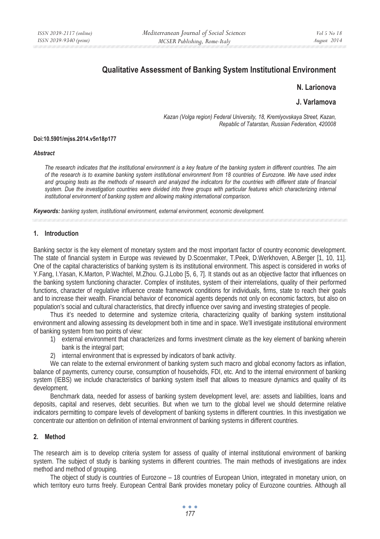# **Qualitative Assessment of Banking System Institutional Environment**

## **N. Larionova**

## **J. Varlamova**

*Kazan (Volga region) Federal University, 18, Kremlyovskaya Street, Kazan, Repablic of Tatarstan, Russian Federation, 420008* 

#### **Doi:10.5901/mjss.2014.v5n18p177**

#### *Abstract*

*The research indicates that the institutional environment is a key feature of the banking system in different countries. The aim of the research is to examine banking system institutional environment from 18 countries of Eurozone. We have used index and grouping tests as the methods of research and analyzed the indicators for the countries with different state of financial system. Due the investigation countries were divided into three groups with particular features which characterizing internal institutional environment of banking system and allowing making international comparison.* 

*Keywords: banking system, institutional environment, external environment, economic development.*

#### **1. Introduction**

Banking sector is the key element of monetary system and the most important factor of country economic development. The state of financial system in Europe was reviewed by D.Scoenmaker, T.Peek, D.Werkhoven, A.Berger [1, 10, 11]. One of the capital characteristics of banking system is its institutional environment. This aspect is considered in works of Y.Fang, I.Yasan, K.Marton, P.Wachtel, M.Zhou. G.J.Lobo [5, 6, 7]. It stands out as an objective factor that influences on the banking system functioning character. Complex of institutes, system of their interrelations, quality of their performed functions, character of regulative influence create framework conditions for individuals, firms, state to reach their goals and to increase their wealth. Financial behavior of economical agents depends not only on economic factors, but also on population's social and cultural characteristics, that directly influence over saving and investing strategies of people.

Thus it's needed to determine and systemize criteria, characterizing quality of banking system institutional environment and allowing assessing its development both in time and in space. We'll investigate institutional environment of banking system from two points of view:

- 1) external environment that characterizes and forms investment climate as the key element of banking wherein bank is the integral part;
- 2) internal environment that is expressed by indicators of bank activity.

We can relate to the external environment of banking system such macro and global economy factors as inflation, balance of payments, currency course, consumption of households, FDI, etc. And to the internal environment of banking system (IEBS) we include characteristics of banking system itself that allows to measure dynamics and quality of its development.

Benchmark data, needed for assess of banking system development level, are: assets and liabilities, loans and deposits, capital and reserves, debt securities. But when we turn to the global level we should determine relative indicators permitting to compare levels of development of banking systems in different countries. In this investigation we concentrate our attention on definition of internal environment of banking systems in different countries.

#### **2. Method**

The research aim is to develop criteria system for assess of quality of internal institutional environment of banking system. The subject of study is banking systems in different countries. The main methods of investigations are index method and method of grouping.

The object of study is countries of Eurozone – 18 countries of European Union, integrated in monetary union, on which territory euro turns freely. European Central Bank provides monetary policy of Eurozone countries. Although all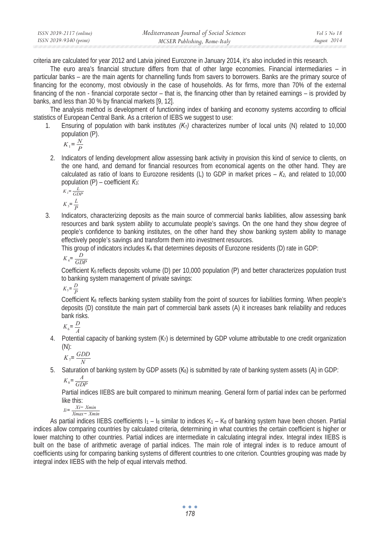| ISSN 2039-2117 (online) | Mediterranean Journal of Social Sciences | Vol 5 No 18 |
|-------------------------|------------------------------------------|-------------|
| ISSN 2039-9340 (print)  | MCSER Publishing, Rome-Italy             | August 2014 |

criteria are calculated for year 2012 and Latvia joined Eurozone in January 2014, it's also included in this research.

The euro area's financial structure differs from that of other large economies. Financial intermediaries – in particular banks – are the main agents for channelling funds from savers to borrowers. Banks are the primary source of financing for the economy, most obviously in the case of households. As for firms, more than 70% of the external financing of the non - financial corporate sector – that is, the financing other than by retained earnings – is provided by banks, and less than 30 % by financial markets [9, 12].

The analysis method is development of functioning index of banking and economy systems according to official statistics of European Central Bank. As a criterion of IEBS we suggest to use:

1. Ensuring of population with bank institutes *(K1)* characterizes number of local units (N) related to 10,000 population (P).

$$
K_1 = \frac{N}{P}
$$

2. Indicators of lending development allow assessing bank activity in provision this kind of service to clients, on the one hand, and demand for financial resources from economical agents on the other hand. They are calculated as ratio of loans to Eurozone residents (L) to GDP in market prices  $- K_2$ , and related to 10,000 population  $(P)$  – coefficient  $K_3$ :

$$
K_2 = \frac{L}{GDP}
$$

$$
K_3 = \frac{L}{P}
$$

3. Indicators, characterizing deposits as the main source of commercial banks liabilities, allow assessing bank resources and bank system ability to accumulate people's savings. On the one hand they show degree of people's confidence to banking institutes, on the other hand they show banking system ability to manage effectively people's savings and transform them into investment resources.

This group of indicators includes  $K_4$  that determines deposits of Eurozone residents (D) rate in GDP:

$$
K_4 = \frac{D}{GDP}
$$

Coefficient K<sub>5</sub> reflects deposits volume (D) per 10,000 population (P) and better characterizes population trust to banking system management of private savings:

 $K_5 = \frac{D}{P}$ 

Coefficient  $K_6$  reflects banking system stability from the point of sources for liabilities forming. When people's deposits (D) constitute the main part of commercial bank assets (A) it increases bank reliability and reduces bank risks.

 $K_6 = \frac{D}{A}$ 

4. Potential capacity of banking system  $(K<sub>7</sub>)$  is determined by GDP volume attributable to one credit organization  $(N)$ :

$$
K_7 = \frac{GDD}{N}
$$

5. Saturation of banking system by GDP assets  $(K_8)$  is submitted by rate of banking system assets (A) in GDP:

$$
K_8 = \frac{A}{GDP}
$$

Partial indices IIEBS are built compared to minimum meaning. General form of partial index can be performed like this:

*Ii*<sup>=</sup> *Xi*<sup>í</sup> *Xmin Xmax*í *Xmin*

As partial indices IIEBS coefficients  $I_1 - I_8$  similar to indices  $K_1 - K_8$  of banking system have been chosen. Partial indices allow comparing countries by calculated criteria, determining in what countries the certain coefficient is higher or lower matching to other countries. Partial indices are intermediate in calculating integral index. Integral index IIEBS is built on the base of arithmetic average of partial indices. The main role of integral index is to reduce amount of coefficients using for comparing banking systems of different countries to one criterion. Countries grouping was made by integral index IIEBS with the help of equal intervals method.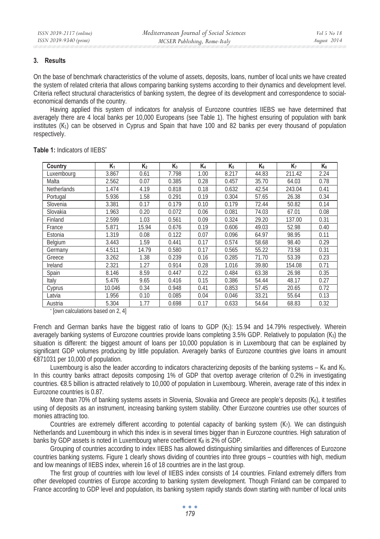## **3. Results**

On the base of benchmark characteristics of the volume of assets, deposits, loans, number of local units we have created the system of related criteria that allows comparing banking systems according to their dynamics and development level. Criteria reflect structural characteristics of banking system, the degree of its development and correspondence to socialeconomical demands of the country.

Having applied this system of indicators for analysis of Eurozone countries IIEBS we have determined that averagely there are 4 local banks per 10,000 Europeans (see Table 1). The highest ensuring of population with bank institutes  $(K<sub>1</sub>)$  can be observed in Cyprus and Spain that have 100 and 82 banks per every thousand of population respectively.

| Country                          | $K_1$  | K <sub>2</sub> | $K_3$ | K <sub>4</sub> | $K_5$ | K <sub>6</sub> | K <sub>7</sub> | K8   |  |
|----------------------------------|--------|----------------|-------|----------------|-------|----------------|----------------|------|--|
| Luxembourg                       | 3.867  | 0.61           | 7.798 | 1.00           | 8.217 | 44.83          | 211.42         | 2.24 |  |
| Malta                            | 2.562  | 0.07           | 0.385 | 0.28           | 0.457 | 35.70          | 64.03          | 0.78 |  |
| <b>Netherlands</b>               | 1.474  | 4.19           | 0.818 | 0.18           | 0.632 | 42.54          | 243.04         | 0.41 |  |
| Portugal                         | 5.936  | 1.58           | 0.291 | 0.19           | 0.304 | 57.65          | 26.38          | 0.34 |  |
| Slovenia                         | 3.381  | 0.17           | 0.179 | 0.10           | 0.179 | 72.44          | 50.82          | 0.14 |  |
| Slovakia                         | 1.963  | 0.20           | 0.072 | 0.06           | 0.081 | 74.03          | 67.01          | 0.08 |  |
| Finland                          | 2.599  | 1.03           | 0.561 | 0.09           | 0.324 | 29.20          | 137.00         | 0.31 |  |
| France                           | 5.871  | 15.94          | 0.676 | 0.19           | 0.606 | 49.03          | 52.98          | 0.40 |  |
| Estonia                          | 1.319  | 0.08           | 0.122 | 0.07           | 0.096 | 64.97          | 98.95          | 0.11 |  |
| Belgium                          | 3.443  | 1.59           | 0.441 | 0.17           | 0.574 | 58.68          | 98.40          | 0.29 |  |
| Germany                          | 4.511  | 14.79          | 0.580 | 0.17           | 0.565 | 55.22          | 73.58          | 0.31 |  |
| Greece                           | 3.262  | 1.38           | 0.239 | 0.16           | 0.285 | 71.70          | 53.39          | 0.23 |  |
| Ireland                          | 2.321  | 1.27           | 0.914 | 0.28           | 1.016 | 39.80          | 154.08         | 0.71 |  |
| Spain                            | 8.146  | 8.59           | 0.447 | 0.22           | 0.484 | 63.38          | 26.98          | 0.35 |  |
| Italy                            | 5.476  | 9.65           | 0.416 | 0.15           | 0.386 | 54.44          | 48.17          | 0.27 |  |
| Cyprus                           | 10.046 | 0.34           | 0.948 | 0.41           | 0.853 | 57.45          | 20.65          | 0.72 |  |
| Latvia                           | 1.956  | 0.10           | 0.085 | 0.04           | 0.046 | 33.21          | 55.64          | 0.13 |  |
| Austria                          | 5.304  | 1.77           | 0.698 | 0.17           | 0.633 | 54.64          | 68.83          | 0.32 |  |
| Town calculations based on 2, 41 |        |                |       |                |       |                |                |      |  |

## Table 1: Indicators of IIFBS<sup>\*</sup>

French and German banks have the biggest ratio of loans to GDP  $(K_2)$ : 15.94 and 14.79% respectively. Wherein averagely banking systems of Eurozone countries provide loans completing 3.5% GDP. Relatively to population (K<sub>3</sub>) the situation is different: the biggest amount of loans per 10,000 population is in Luxembourg that can be explained by significant GDP volumes producing by little population. Averagely banks of Eurozone countries give loans in amount €871031 per 10,000 of population.

Luxembourg is also the leader according to indicators characterizing deposits of the banking systems –  $K_4$  and  $K_5$ . In this country banks attract deposits composing 1% of GDP that overtop average criterion of 0.2% in investigating countries. €8.5 billion is attracted relatively to 10,000 of population in Luxembourg. Wherein, average rate of this index in Eurozone countries is 0.87.

More than 70% of banking systems assets in Slovenia, Slovakia and Greece are people's deposits  $(K_6)$ , it testifies using of deposits as an instrument, increasing banking system stability. Other Eurozone countries use other sources of monies attracting too.

Countries are extremely different according to potential capacity of banking system  $(K<sub>7</sub>)$ . We can distinguish Netherlands and Luxembourg in which this index is in several times bigger than in Eurozone countries. High saturation of banks by GDP assets is noted in Luxembourg where coefficient  $K_8$  is 2% of GDP.

Grouping of countries according to index IIEBS has allowed distinguishing similarities and differences of Eurozone countries banking systems. Figure 1 clearly shows dividing of countries into three groups – countries with high, medium and low meanings of IIEBS index, wherein 16 of 18 countries are in the last group.

The first group of countries with low level of IIEBS index consists of 14 countries. Finland extremely differs from other developed countries of Europe according to banking system development. Though Finland can be compared to France according to GDP level and population, its banking system rapidly stands down starting with number of local units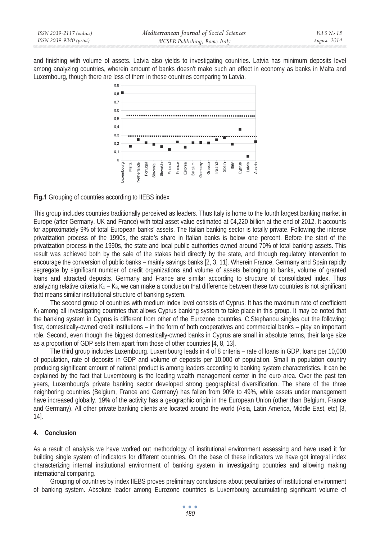| ISSN 2039-2117 (online) | Mediterranean Journal of Social Sciences | Vol 5 No 18 |
|-------------------------|------------------------------------------|-------------|
| ISSN 2039-9340 (print)  | MCSER Publishing, Rome-Italy             | August 2014 |

and finishing with volume of assets. Latvia also yields to investigating countries. Latvia has minimum deposits level among analyzing countries, wherein amount of banks doesn't make such an effect in economy as banks in Malta and Luxembourg, though there are less of them in these countries comparing to Latvia.



**Fig.1** Grouping of countries according to IIEBS index

This group includes countries traditionally perceived as leaders. Thus Italy is home to the fourth largest banking market in Europe (after Germany, UK and France) with total asset value estimated at €4,220 billion at the end of 2012. It accounts for approximately 9% of total European banks' assets. The Italian banking sector is totally private. Following the intense privatization process of the 1990s, the state's share in Italian banks is below one percent. Before the start of the privatization process in the 1990s, the state and local public authorities owned around 70% of total banking assets. This result was achieved both by the sale of the stakes held directly by the state, and through regulatory intervention to encourage the conversion of public banks – mainly savings banks [2, 3, 11]. Wherein France, Germany and Spain rapidly segregate by significant number of credit organizations and volume of assets belonging to banks, volume of granted loans and attracted deposits. Germany and France are similar according to structure of consolidated index. Thus analyzing relative criteria  $K_1 - K_8$ , we can make a conclusion that difference between these two countries is not significant that means similar institutional structure of banking system.

The second group of countries with medium index level consists of Cyprus. It has the maximum rate of coefficient K1 among all investigating countries that allows Cyprus banking system to take place in this group. It may be noted that the banking system in Cyprus is different from other of the Eurozone countries. C.Stephanou singles out the following: first, domestically-owned credit institutions – in the form of both cooperatives and commercial banks – play an important role. Second, even though the biggest domestically-owned banks in Cyprus are small in absolute terms, their large size as a proportion of GDP sets them apart from those of other countries [4, 8, 13].

The third group includes Luxembourg. Luxembourg leads in 4 of 8 criteria – rate of loans in GDP, loans per 10,000 of population, rate of deposits in GDP and volume of deposits per 10,000 of population. Small in population country producing significant amount of national product is among leaders according to banking system characteristics. It can be explained by the fact that Luxembourg is the leading wealth management center in the euro area. Over the past ten years, Luxembourg's private banking sector developed strong geographical diversification. The share of the three neighboring countries (Belgium, France and Germany) has fallen from 90% to 49%, while assets under management have increased globally. 19% of the activity has a geographic origin in the European Union (other than Belgium, France and Germany). All other private banking clients are located around the world (Asia, Latin America, Middle East, etc) [3, 14].

#### **4. Conclusion**

As a result of analysis we have worked out methodology of institutional environment assessing and have used it for building single system of indicators for different countries. On the base of these indicators we have got integral index characterizing internal institutional environment of banking system in investigating countries and allowing making international comparing.

Grouping of countries by index IIEBS proves preliminary conclusions about peculiarities of institutional environment of banking system. Absolute leader among Eurozone countries is Luxembourg accumulating significant volume of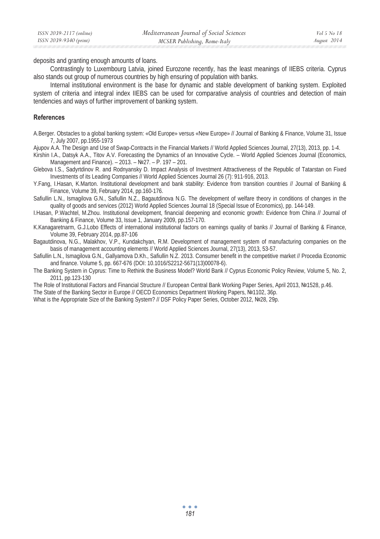deposits and granting enough amounts of loans.

Contrastingly to Luxembourg Latvia, joined Eurozone recently, has the least meanings of IIEBS criteria. Cyprus also stands out group of numerous countries by high ensuring of population with banks.

Internal institutional environment is the base for dynamic and stable development of banking system. Exploited system of criteria and integral index IIEBS can be used for comparative analysis of countries and detection of main tendencies and ways of further improvement of banking system.

### **References**

A.Berger. Obstacles to a global banking system: «Old Europe» versus «New Europe» // Journal of Banking & Finance, Volume 31, Issue 7, July 2007, pp.1955-1973

Ajupov A.A. The Design and Use of Swap-Contracts in the Financial Markets // World Applied Sciences Journal, 27(13), 2013, pp. 1-4.

Kirshin I.A., Datsyk A.A., Titov A.V. Forecasting the Dynamics of an Innovative Cycle. – World Applied Sciences Journal (Economics, Management and Finance). - 2013. - Nº27. - P. 197 - 201.

Glebova I.S., Sadyrtdinov R. and Rodnyansky D. Impact Analysis of Investment Attractiveness of the Republic of Tatarstan on Fixed Investments of its Leading Companies // World Applied Sciences Journal 26 (7): 911-916, 2013.

Y.Fang, I.Hasan, K.Marton. Institutional development and bank stability: Evidence from transition countries // Journal of Banking & Finance, Volume 39, February 2014, pp.160-176.

Safiullin L.N., Ismagilova G.N., Safiullin N.Z., Bagautdinova N.G. The development of welfare theory in conditions of changes in the quality of goods and services (2012) World Applied Sciences Journal 18 (Special Issue of Economics), pp. 144-149.

I.Hasan, P.Wachtel, M.Zhou. Institutional development, financial deepening and economic growth: Evidence from China // Journal of Banking & Finance, Volume 33, Issue 1, January 2009, pp.157-170.

K.Kanagaretnarm, G.J.Lobo Effects of international institutional factors on earnings quality of banks // Journal of Banking & Finance, Volume 39, February 2014, pp.87-106

Bagautdinova, N.G., Malakhov, V.P., Kundakchyan, R.M. Development of management system of manufacturing companies on the basis of management accounting elements // World Applied Sciences Journal, 27(13), 2013, 53-57.

Safiullin L.N., Ismagilova G.N., Gallyamova D.Kh., Safiullin N.Z. 2013. Consumer benefit in the competitive market // Procedia Economic and finance. Volume 5, pp. 667-676 (DOI: 10.1016/S2212-5671(13)00078-6).

The Banking System in Cyprus: Time to Rethink the Business Model? World Bank // Cyprus Economic Policy Review, Volume 5, No. 2, 2011, pp.123-130

The Role of Institutional Factors and Financial Structure // European Central Bank Working Paper Series, April 2013, ʋ1528, p.46.

The State of the Banking Sector in Europe // OECD Economics Department Working Papers, №1102, 36p.

What is the Appropriate Size of the Banking System? // DSF Policy Paper Series, October 2012, №28, 29p.